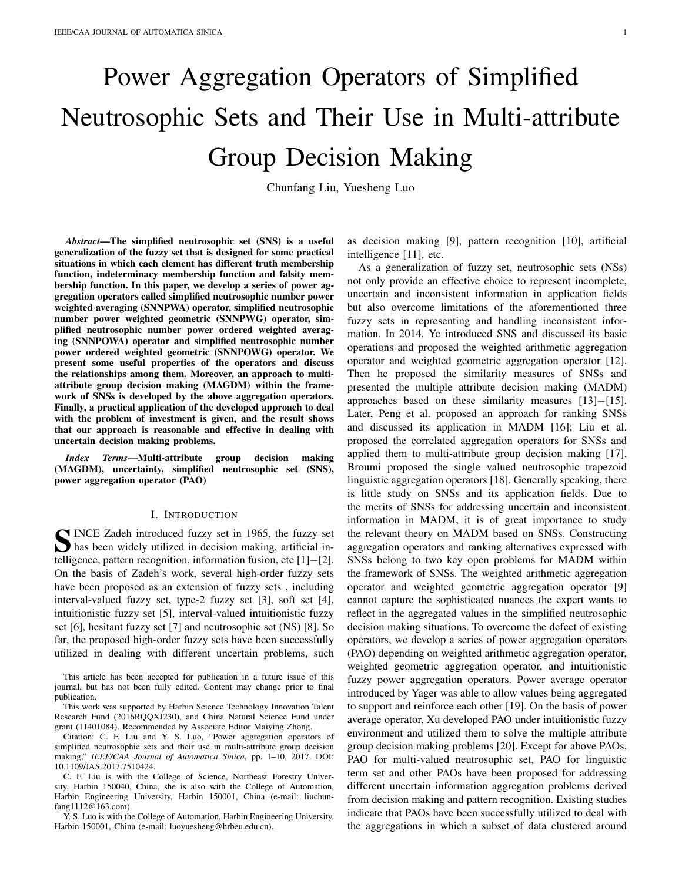# Power Aggregation Operators of Simplified Neutrosophic Sets and Their Use in Multi-attribute Group Decision Making

Chunfang Liu, Yuesheng Luo

*Abstract*—The simplified neutrosophic set (SNS) is a useful generalization of the fuzzy set that is designed for some practical situations in which each element has different truth membership function, indeterminacy membership function and falsity membership function. In this paper, we develop a series of power aggregation operators called simplified neutrosophic number power weighted averaging (SNNPWA) operator, simplified neutrosophic number power weighted geometric (SNNPWG) operator, simplified neutrosophic number power ordered weighted averaging (SNNPOWA) operator and simplified neutrosophic number power ordered weighted geometric (SNNPOWG) operator. We present some useful properties of the operators and discuss the relationships among them. Moreover, an approach to multiattribute group decision making (MAGDM) within the framework of SNSs is developed by the above aggregation operators. Finally, a practical application of the developed approach to deal with the problem of investment is given, and the result shows that our approach is reasonable and effective in dealing with uncertain decision making problems.

*Index Terms*—Multi-attribute group decision making (MAGDM), uncertainty, simplified neutrosophic set (SNS), power aggregation operator (PAO)

## I. INTRODUCTION

SINCE Zadeh introduced fuzzy set in 1965, the fuzzy set<br>
In the set widely utilized in decision making, artificial inhas been widely utilized in decision making, artificial intelligence, pattern recognition, information fusion, etc [1]−[2]. On the basis of Zadeh's work, several high-order fuzzy sets have been proposed as an extension of fuzzy sets , including interval-valued fuzzy set, type-2 fuzzy set [3], soft set [4], intuitionistic fuzzy set [5], interval-valued intuitionistic fuzzy set [6], hesitant fuzzy set [7] and neutrosophic set (NS) [8]. So far, the proposed high-order fuzzy sets have been successfully utilized in dealing with different uncertain problems, such

This article has been accepted for publication in a future issue of this journal, but has not been fully edited. Content may change prior to final publication.

This work was supported by Harbin Science Technology Innovation Talent Research Fund (2016RQQXJ230), and China Natural Science Fund under grant (11401084). Recommended by Associate Editor Maiying Zhong.

Citation: C. F. Liu and Y. S. Luo, "Power aggregation operators of simplified neutrosophic sets and their use in multi-attribute group decision making," *IEEE/CAA Journal of Automatica Sinica*, pp. 1–10, 2017. DOI: 10.1109/JAS.2017.7510424.

C. F. Liu is with the College of Science, Northeast Forestry University, Harbin 150040, China, she is also with the College of Automation, Harbin Engineering University, Harbin 150001, China (e-mail: liuchunfang1112@163.com).

Y. S. Luo is with the College of Automation, Harbin Engineering University, Harbin 150001, China (e-mail: luoyuesheng@hrbeu.edu.cn).

as decision making [9], pattern recognition [10], artificial intelligence [11], etc.

As a generalization of fuzzy set, neutrosophic sets (NSs) not only provide an effective choice to represent incomplete, uncertain and inconsistent information in application fields but also overcome limitations of the aforementioned three fuzzy sets in representing and handling inconsistent information. In 2014, Ye introduced SNS and discussed its basic operations and proposed the weighted arithmetic aggregation operator and weighted geometric aggregation operator [12]. Then he proposed the similarity measures of SNSs and presented the multiple attribute decision making (MADM) approaches based on these similarity measures [13]−[15]. Later, Peng et al. proposed an approach for ranking SNSs and discussed its application in MADM [16]; Liu et al. proposed the correlated aggregation operators for SNSs and applied them to multi-attribute group decision making [17]. Broumi proposed the single valued neutrosophic trapezoid linguistic aggregation operators [18]. Generally speaking, there is little study on SNSs and its application fields. Due to the merits of SNSs for addressing uncertain and inconsistent information in MADM, it is of great importance to study the relevant theory on MADM based on SNSs. Constructing aggregation operators and ranking alternatives expressed with SNSs belong to two key open problems for MADM within the framework of SNSs. The weighted arithmetic aggregation operator and weighted geometric aggregation operator [9] cannot capture the sophisticated nuances the expert wants to reflect in the aggregated values in the simplified neutrosophic decision making situations. To overcome the defect of existing operators, we develop a series of power aggregation operators (PAO) depending on weighted arithmetic aggregation operator, weighted geometric aggregation operator, and intuitionistic fuzzy power aggregation operators. Power average operator introduced by Yager was able to allow values being aggregated to support and reinforce each other [19]. On the basis of power average operator, Xu developed PAO under intuitionistic fuzzy environment and utilized them to solve the multiple attribute group decision making problems [20]. Except for above PAOs, PAO for multi-valued neutrosophic set, PAO for linguistic term set and other PAOs have been proposed for addressing different uncertain information aggregation problems derived from decision making and pattern recognition. Existing studies indicate that PAOs have been successfully utilized to deal with the aggregations in which a subset of data clustered around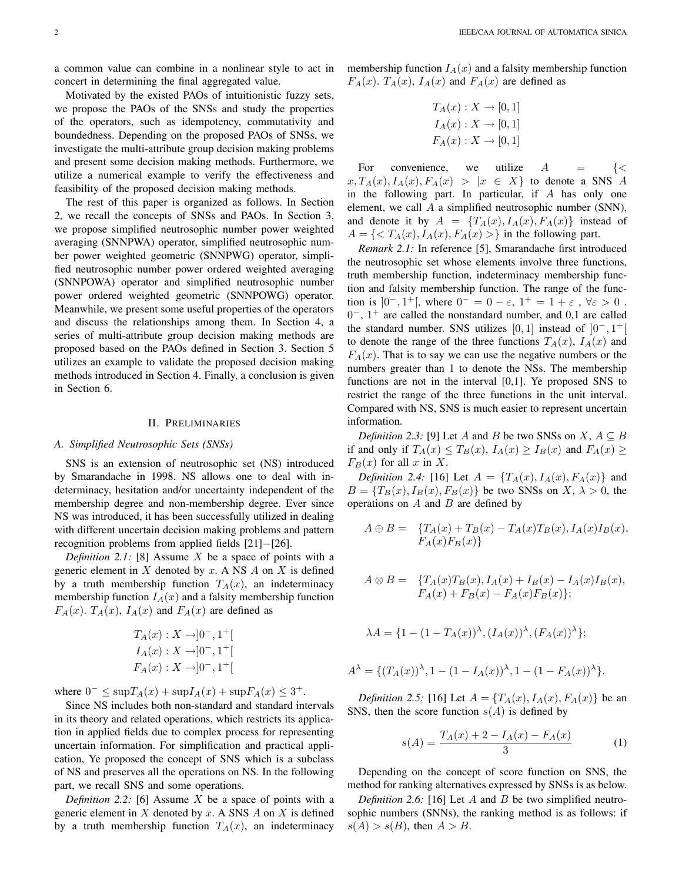a common value can combine in a nonlinear style to act in concert in determining the final aggregated value.

Motivated by the existed PAOs of intuitionistic fuzzy sets, we propose the PAOs of the SNSs and study the properties of the operators, such as idempotency, commutativity and boundedness. Depending on the proposed PAOs of SNSs, we investigate the multi-attribute group decision making problems and present some decision making methods. Furthermore, we utilize a numerical example to verify the effectiveness and feasibility of the proposed decision making methods.

The rest of this paper is organized as follows. In Section 2, we recall the concepts of SNSs and PAOs. In Section 3, we propose simplified neutrosophic number power weighted averaging (SNNPWA) operator, simplified neutrosophic number power weighted geometric (SNNPWG) operator, simplified neutrosophic number power ordered weighted averaging (SNNPOWA) operator and simplified neutrosophic number power ordered weighted geometric (SNNPOWG) operator. Meanwhile, we present some useful properties of the operators and discuss the relationships among them. In Section 4, a series of multi-attribute group decision making methods are proposed based on the PAOs defined in Section 3. Section 5 utilizes an example to validate the proposed decision making methods introduced in Section 4. Finally, a conclusion is given in Section 6.

## II. PRELIMINARIES

## *A. Simplified Neutrosophic Sets (SNSs)*

SNS is an extension of neutrosophic set (NS) introduced by Smarandache in 1998. NS allows one to deal with indeterminacy, hesitation and/or uncertainty independent of the membership degree and non-membership degree. Ever since NS was introduced, it has been successfully utilized in dealing with different uncertain decision making problems and pattern recognition problems from applied fields [21]−[26].

*Definition 2.1:* [8] Assume X be a space of points with a generic element in  $X$  denoted by  $x$ . A NS  $A$  on  $X$  is defined by a truth membership function  $T<sub>A</sub>(x)$ , an indeterminacy membership function  $I_A(x)$  and a falsity membership function  $F_A(x)$ .  $T_A(x)$ ,  $I_A(x)$  and  $F_A(x)$  are defined as

$$
T_A(x) : X \to ]0^-, 1^+[
$$
  
\n
$$
I_A(x) : X \to ]0^-, 1^+[
$$
  
\n
$$
F_A(x) : X \to ]0^-, 1^+[
$$

where  $0^- \le \sup T_A(x) + \sup I_A(x) + \sup F_A(x) \le 3^+$ .

Since NS includes both non-standard and standard intervals in its theory and related operations, which restricts its application in applied fields due to complex process for representing uncertain information. For simplification and practical application, Ye proposed the concept of SNS which is a subclass of NS and preserves all the operations on NS. In the following part, we recall SNS and some operations.

*Definition 2.2:* [6] Assume X be a space of points with a generic element in  $X$  denoted by  $x$ . A SNS  $A$  on  $X$  is defined by a truth membership function  $T_A(x)$ , an indeterminacy membership function  $I_A(x)$  and a falsity membership function  $F_A(x)$ .  $T_A(x)$ ,  $I_A(x)$  and  $F_A(x)$  are defined as

$$
T_A(x) : X \to [0, 1]
$$
  
\n
$$
I_A(x) : X \to [0, 1]
$$
  
\n
$$
F_A(x) : X \to [0, 1]
$$

For convenience, we utilize  $A = \{ \langle \rangle$  $x, T_A(x), I_A(x), F_A(x) > |x \in X$  to denote a SNS A in the following part. In particular, if A has only one element, we call A a simplified neutrosophic number (SNN), and denote it by  $A = \{T_A(x), I_A(x), F_A(x)\}\$ instead of  $A = \{ \langle T_A(x), I_A(x), F_A(x) \rangle \}$  in the following part.

*Remark 2.1:* In reference [5], Smarandache first introduced the neutrosophic set whose elements involve three functions, truth membership function, indeterminacy membership function and falsity membership function. The range of the function is  $]0^-, 1^+[$ , where  $0^- = 0 - \varepsilon$ ,  $1^+ = 1 + \varepsilon$ ,  $\forall \varepsilon > 0$ . 0 <sup>−</sup>, 1 <sup>+</sup> are called the nonstandard number, and 0,1 are called the standard number. SNS utilizes [0, 1] instead of  $[0^-, 1^+]$ to denote the range of the three functions  $T_A(x)$ ,  $I_A(x)$  and  $F_A(x)$ . That is to say we can use the negative numbers or the numbers greater than 1 to denote the NSs. The membership functions are not in the interval [0,1]. Ye proposed SNS to restrict the range of the three functions in the unit interval. Compared with NS, SNS is much easier to represent uncertain information.

*Definition 2.3:* [9] Let A and B be two SNSs on  $X, A \subseteq B$ if and only if  $T_A(x) \leq T_B(x)$ ,  $I_A(x) \geq I_B(x)$  and  $F_A(x) \geq$  $F_B(x)$  for all x in X.

*Definition 2.4:* [16] Let  $A = \{T_A(x), I_A(x), F_A(x)\}\$ and  $B = \{T_B(x), I_B(x), F_B(x)\}\$ be two SNSs on X,  $\lambda > 0$ , the operations on  $A$  and  $B$  are defined by

$$
A \oplus B = \{T_A(x) + T_B(x) - T_A(x)T_B(x), I_A(x)I_B(x),
$$
  

$$
F_A(x)F_B(x)\}
$$

$$
A \otimes B = \{T_A(x)T_B(x), I_A(x) + I_B(x) - I_A(x)I_B(x),
$$
  
 
$$
F_A(x) + F_B(x) - F_A(x)F_B(x)\};
$$

$$
\lambda A = \{1 - (1 - T_A(x))^\lambda, (I_A(x))^\lambda, (F_A(x))^\lambda\};
$$

$$
A^{\lambda} = \{ (T_A(x))^{\lambda}, 1 - (1 - I_A(x))^{\lambda}, 1 - (1 - F_A(x))^{\lambda} \}.
$$

*Definition 2.5:* [16] Let  $A = \{T_A(x), I_A(x), F_A(x)\}\)$  be an SNS, then the score function  $s(A)$  is defined by

$$
s(A) = \frac{T_A(x) + 2 - I_A(x) - F_A(x)}{3} \tag{1}
$$

Depending on the concept of score function on SNS, the method for ranking alternatives expressed by SNSs is as below.

*Definition 2.6:* [16] Let A and B be two simplified neutrosophic numbers (SNNs), the ranking method is as follows: if  $s(A) > s(B)$ , then  $A > B$ .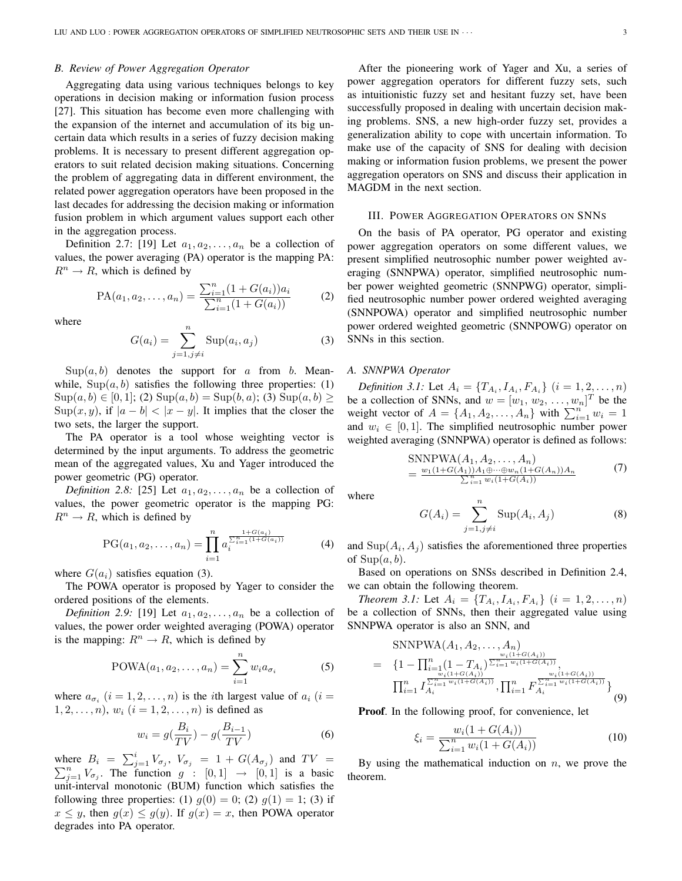## *B. Review of Power Aggregation Operator*

Aggregating data using various techniques belongs to key operations in decision making or information fusion process [27]. This situation has become even more challenging with the expansion of the internet and accumulation of its big uncertain data which results in a series of fuzzy decision making problems. It is necessary to present different aggregation operators to suit related decision making situations. Concerning the problem of aggregating data in different environment, the related power aggregation operators have been proposed in the last decades for addressing the decision making or information fusion problem in which argument values support each other in the aggregation process.

Definition 2.7: [19] Let  $a_1, a_2, \ldots, a_n$  be a collection of values, the power averaging (PA) operator is the mapping PA:  $R^n \to R$ , which is defined by

$$
PA(a_1, a_2,..., a_n) = \frac{\sum_{i=1}^n (1 + G(a_i))a_i}{\sum_{i=1}^n (1 + G(a_i))}
$$
 (2)

where

$$
G(a_i) = \sum_{j=1, j \neq i}^{n} \text{Sup}(a_i, a_j)
$$
 (3)

 $\text{Sup}(a, b)$  denotes the support for a from b. Meanwhile,  $\text{Sup}(a, b)$  satisfies the following three properties: (1)  $\text{Sup}(a, b) \in [0, 1]; (2) \text{Sup}(a, b) = \text{Sup}(b, a); (3) \text{Sup}(a, b) \ge$  $\text{Sup}(x, y)$ , if  $|a - b| < |x - y|$ . It implies that the closer the two sets, the larger the support.

The PA operator is a tool whose weighting vector is determined by the input arguments. To address the geometric mean of the aggregated values, Xu and Yager introduced the power geometric (PG) operator.

*Definition 2.8:* [25] Let  $a_1, a_2, \ldots, a_n$  be a collection of values, the power geometric operator is the mapping PG:  $R^n \to R$ , which is defined by

PG(
$$
a_1, a_2, ..., a_n
$$
) = 
$$
\prod_{i=1}^{n} a_i^{\sum_{i=1}^{n} (1 + G(a_i))}
$$
 (4)

where  $G(a_i)$  satisfies equation (3).

The POWA operator is proposed by Yager to consider the ordered positions of the elements.

*Definition 2.9:* [19] Let  $a_1, a_2, \ldots, a_n$  be a collection of values, the power order weighted averaging (POWA) operator is the mapping:  $R^n \to R$ , which is defined by

$$
POWA(a_1, a_2, \dots, a_n) = \sum_{i=1}^{n} w_i a_{\sigma_i}
$$
 (5)

where  $a_{\sigma_i}$   $(i = 1, 2, \ldots, n)$  is the *i*th largest value of  $a_i$   $(i =$  $1, 2, \ldots, n$ ,  $w_i$   $(i = 1, 2, \ldots, n)$  is defined as

$$
w_i = g\left(\frac{B_i}{TV}\right) - g\left(\frac{B_{i-1}}{TV}\right) \tag{6}
$$

where  $B_i = \sum_{j=1}^i V_{\sigma_j}$ ,  $V_{\sigma_j} = 1 + G(A_{\sigma_j})$  and  $TV = \sum_{j=1}^n V_{\sigma_j}$ . The function  $g : [0,1] \rightarrow [0,1]$  is a basic unit-interval monotonic (BUM) function which satisfies the following three properties: (1)  $g(0) = 0$ ; (2)  $g(1) = 1$ ; (3) if  $x \leq y$ , then  $g(x) \leq g(y)$ . If  $g(x) = x$ , then POWA operator degrades into PA operator.

After the pioneering work of Yager and Xu, a series of power aggregation operators for different fuzzy sets, such as intuitionistic fuzzy set and hesitant fuzzy set, have been successfully proposed in dealing with uncertain decision making problems. SNS, a new high-order fuzzy set, provides a generalization ability to cope with uncertain information. To make use of the capacity of SNS for dealing with decision making or information fusion problems, we present the power aggregation operators on SNS and discuss their application in MAGDM in the next section.

## III. POWER AGGREGATION OPERATORS ON SNNS

On the basis of PA operator, PG operator and existing power aggregation operators on some different values, we present simplified neutrosophic number power weighted averaging (SNNPWA) operator, simplified neutrosophic number power weighted geometric (SNNPWG) operator, simplified neutrosophic number power ordered weighted averaging (SNNPOWA) operator and simplified neutrosophic number power ordered weighted geometric (SNNPOWG) operator on SNNs in this section.

## *A. SNNPWA Operator*

*Definition 3.1:* Let  $A_i = \{T_{A_i}, I_{A_i}, F_{A_i}\}\ (i = 1, 2, \ldots, n)$ be a collection of SNNs, and  $w = [w_1, w_2, \dots, w_n]^T$  be the be a conection of SNNs, and  $w = [w_1, w_2, \dots, w_n]$  be the weight vector of  $A = \{A_1, A_2, \dots, A_n\}$  with  $\sum_{i=1}^n w_i = 1$ and  $w_i \in [0, 1]$ . The simplified neutrosophic number power weighted averaging (SNNPWA) operator is defined as follows:

$$
\text{SNN} \text{PWA}(A_1, A_2, \dots, A_n) = \frac{w_1(1 + G(A_1))A_1 \oplus \dots \oplus w_n(1 + G(A_n))A_n}{\sum_{i=1}^n w_i(1 + G(A_i))} \tag{7}
$$

where

$$
G(A_i) = \sum_{j=1, j \neq i}^{n} \text{Sup}(A_i, A_j)
$$
 (8)

and  $\text{Sup}(A_i, A_j)$  satisfies the aforementioned three properties of  $Sup(a, b)$ .

Based on operations on SNSs described in Definition 2.4, we can obtain the following theorem.

*Theorem 3.1:* Let  $A_i = \{T_{A_i}, I_{A_i}, F_{A_i}\}$   $(i = 1, 2, ..., n)$ be a collection of SNNs, then their aggregated value using SNNPWA operator is also an SNN, and

$$
\begin{split}\n&\text{SNNPWA}(A_1, A_2, \dots, A_n) \\
&= \{1 - \prod_{i=1}^n (1 - T_{A_i})^{\frac{w_i(1 + G(A_i))}{\sum_{i=1}^n w_i(1 + G(A_i))}}, \\
&\prod_{i=1}^n I_{A_i}^{\frac{w_i(1 + G(A_i))}{\sum_{i=1}^n w_i(1 + G(A_i))}}, \prod_{i=1}^n F_{A_i}^{\frac{w_i(1 + G(A_i))}{\sum_{i=1}^n w_i(1 + G(A_i))}}\} \tag{9}\n\end{split}
$$

Proof. In the following proof, for convenience, let

$$
\xi_i = \frac{w_i(1 + G(A_i))}{\sum_{i=1}^n w_i(1 + G(A_i))}
$$
\n(10)

By using the mathematical induction on  $n$ , we prove the theorem.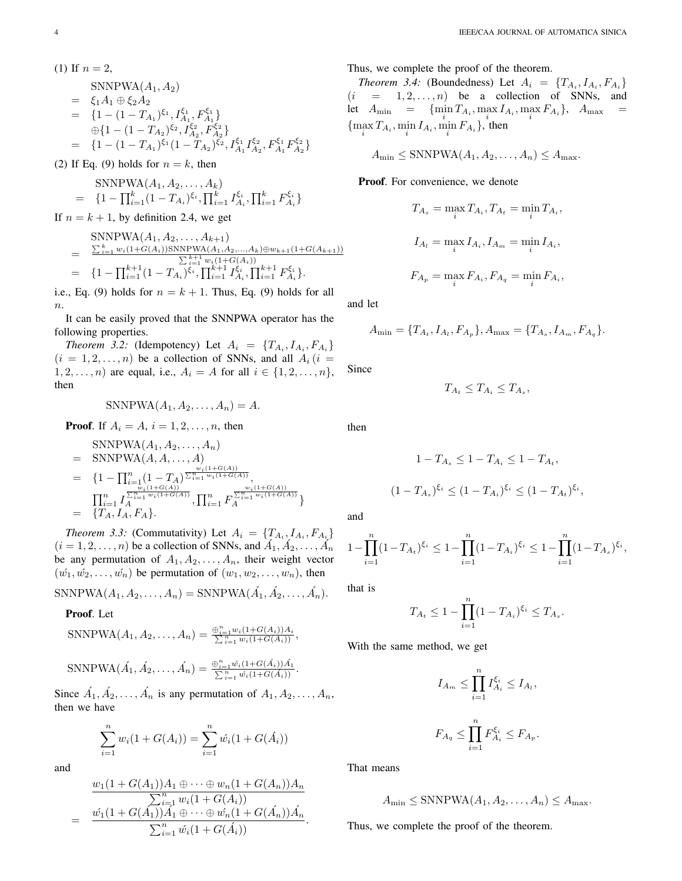(1) If 
$$
n = 2
$$
,  
\nSNNPWA $(A_1, A_2)$   
\n
$$
= \xi_1 A_1 \oplus \xi_2 A_2
$$
\n
$$
= \{1 - (1 - T_{A_1})^{\xi_1}, I_{A_1}^{\xi_1}, F_{A_1}^{\xi_1}\}
$$
\n
$$
\oplus \{1 - (1 - T_{A_2})^{\xi_2}, I_{A_2}^{\xi_2}, F_{A_2}^{\xi_2}\}
$$
\n
$$
= \{1 - (1 - T_{A_1})^{\xi_1}(1 - T_{A_2})^{\xi_2}, I_{A_1}^{\xi_1} I_{A_2}^{\xi_2}, F_{A_1}^{\xi_1} F_{A_2}^{\xi_2}\}
$$

(2) If Eq. (9) holds for  $n = k$ , then

$$
\begin{array}{rcl}\n\text{SNNPWA}(A_1, A_2, \dots, A_k) \\
= & \{1 - \prod_{i=1}^k (1 - T_{A_i})^{\xi_i}, \prod_{i=1}^k I_{A_i}^{\xi_i}, \prod_{i=1}^k F_{A_i}^{\xi_i}\}\n\end{array}
$$

If  $n = k + 1$ , by definition 2.4, we get

$$
= \frac{\sum_{i=1}^{k} w_i (1+G(A_i)) \text{SNNPWA}(A_1, A_2, ..., A_k) \oplus w_{k+1} (1+G(A_{k+1}))}{\sum_{i=1}^{k+1} w_i (1+G(A_i))}
$$
  
= 
$$
\{1 - \prod_{i=1}^{k+1} (1 - T_{A_i})^{\xi_i}, \prod_{i=1}^{k+1} I_{A_i}^{\xi_i}, \prod_{i=1}^{k+1} F_{A_i}^{\xi_i} \}.
$$

i.e., Eq. (9) holds for  $n = k + 1$ . Thus, Eq. (9) holds for all  $n$ .

It can be easily proved that the SNNPWA operator has the following properties.

*Theorem 3.2:* (Idempotency) Let  $A_i = \{T_{A_i}, I_{A_i}, F_{A_i}\}\$  $(i = 1, 2, \ldots, n)$  be a collection of SNNs, and all  $A_i$   $(i =$  $1, 2, \ldots, n$  are equal, i.e.,  $A_i = A$  for all  $i \in \{1, 2, \ldots, n\}$ , then

$$
SNNPWA(A_1, A_2, \ldots, A_n) = A.
$$

**Proof.** If 
$$
A_i = A
$$
,  $i = 1, 2, ..., n$ , then

$$
\begin{aligned}\n&\text{SNNPWA}(A_1, A_2, \dots, A_n) \\
&= \text{SNNPWA}(A, A, \dots, A) \\
&= \{1 - \prod_{i=1}^n (1 - T_A)^{\sum_{i=1}^n w_i(1 + G(A))}, \\
&\prod_{i=1}^n I_A^{\sum_{i=1}^n w_i(1 + G(A))}, \prod_{i=1}^n F_A^{\sum_{i=1}^n w_i(1 + G(A))}\n\end{aligned}
$$
\n
$$
= \{T_A, I_A, F_A\}.
$$

*Theorem 3.3:* (Commutativity) Let  $A_i = \{T_{A_i}, I_{A_i}, F_{A_i}\}\$  $(i = 1, 2, \dots, n)$  be a collection of SNNs, and  $\overrightarrow{A_1}, \overrightarrow{A_2}, \dots, \overrightarrow{A_n}$ be any permutation of  $A_1, A_2, \ldots, A_n$ , their weight vector  $(w_1, w_2, \ldots, w_n)$  be permutation of  $(w_1, w_2, \ldots, w_n)$ , then

SNNPWA $(A_1, A_2, ..., A_n) =$ SNNPWA $(\hat{A_1}, \hat{A_2}, ..., \hat{A_n})$ .

## Proof. Let

$$
\text{SNNPWA}(A_1, A_2, \dots, A_n) = \frac{\oplus_{i=1}^n w_i (1 + G(A_i)) A_i}{\sum_{i=1}^n w_i (1 + G(A_i))},
$$
  
\n
$$
\text{SNNPWA}(A_1, A_2, \dots, A_n) = \frac{\oplus_{i=1}^n \dot{w_i} (1 + G(A_i)) A_1}{\sum_{i=1}^n \dot{w_i} (1 + G(A_i))}.
$$

Since  $\hat{A}_1, \hat{A}_2, \dots, \hat{A}_n$  is any permutation of  $A_1, A_2, \dots, A_n$ , then we have

$$
\sum_{i=1}^{n} w_i (1 + G(A_i)) = \sum_{i=1}^{n} \acute{w}_i (1 + G(\acute{A}_i))
$$

and

$$
\frac{w_1(1+G(A_1))A_1 \oplus \cdots \oplus w_n(1+G(A_n))A_n}{\sum_{i=1}^n w_i(1+G(A_i))}
$$
\n
$$
= \frac{w_1(1+G(A_1))A_1 \oplus \cdots \oplus w_n(1+G(A_n))A_n}{\sum_{i=1}^n w_i(1+G(A_i))}.
$$

Thus, we complete the proof of the theorem.

*Theorem 3.4:* (Boundedness) Let  $A_i = \{T_{A_i}, I_{A_i}, F_{A_i}\}\$  $(i = 1, 2, \ldots, n)$  be a collection of SNNs, and let  $A_{\min} = \{ \min_i T_{A_i}, \max_i I_{A_i}, \max_i F_{A_i} \}, A_{\max} =$  $\{\max_i T_{A_i}, \min_i I_{A_i}, \min_i F_{A_i}\},\$ then

 $A_{\min} \leq \text{SNNPWA}(A_1, A_2, \dots, A_n) \leq A_{\max}.$ 

Proof. For convenience, we denote

$$
T_{A_s} = \max_i T_{A_i}, T_{A_t} = \min_i T_{A_i},
$$
  

$$
I_{A_l} = \max_i I_{A_i}, I_{A_m} = \min_i I_{A_i},
$$
  

$$
F_{A_p} = \max_i F_{A_i}, F_{A_q} = \min_i F_{A_i},
$$

and let

$$
A_{\min} = \{T_{A_t}, I_{A_l}, F_{A_p}\}, A_{\max} = \{T_{A_s}, I_{A_m}, F_{A_q}\}.
$$

Since

$$
T_{A_t} \leq T_{A_i} \leq T_{A_s},
$$

then

$$
1 - T_{A_s} \le 1 - T_{A_i} \le 1 - T_{A_t},
$$
  

$$
(1 - T_{A_s})^{\xi_i} \le (1 - T_{A_i})^{\xi_i} \le (1 - T_{A_t})^{\xi_i},
$$

and

$$
1 - \prod_{i=1}^{n} (1 - T_{A_t})^{\xi_i} \le 1 - \prod_{i=1}^{n} (1 - T_{A_i})^{\xi_i} \le 1 - \prod_{i=1}^{n} (1 - T_{A_s})^{\xi_i},
$$

that is

$$
T_{A_t} \le 1 - \prod_{i=1}^n (1 - T_{A_i})^{\xi_i} \le T_{A_s}.
$$

With the same method, we get

$$
I_{A_m} \leq \prod_{i=1}^n I_{A_i}^{\xi_i} \leq I_{A_l},
$$
  

$$
F_{A_q} \leq \prod_{i=1}^n F_{A_i}^{\xi_i} \leq F_{A_p}.
$$

That means

$$
A_{\min} \leq \text{SNNPWA}(A_1, A_2, \dots, A_n) \leq A_{\max}.
$$

Thus, we complete the proof of the theorem.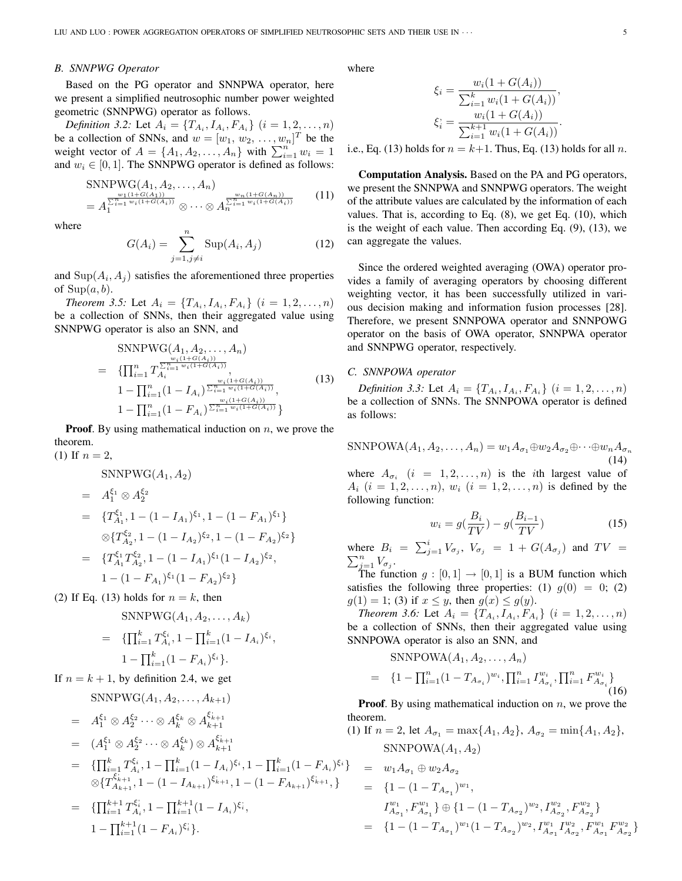## *B. SNNPWG Operator*

Based on the PG operator and SNNPWA operator, here we present a simplified neutrosophic number power weighted geometric (SNNPWG) operator as follows.

*Definition 3.2:* Let  $A_i = \{T_{A_i}, I_{A_i}, F_{A_i}\}\ (i = 1, 2, \ldots, n)$ be a collection of SNNs, and  $w = [w_1, w_2, \dots, w_n]^T$  be the be a conection of SNNs, and  $w = [w_1, w_2, \dots, w_n]$  be the weight vector of  $A = \{A_1, A_2, \dots, A_n\}$  with  $\sum_{i=1}^n w_i = 1$ and  $w_i \in [0, 1]$ . The SNNPWG operator is defined as follows:

$$
\text{SNNPWG}(A_1, A_2, \dots, A_n) = A_1^{\frac{w_1(1+G(A_1))}{\sum_{i=1}^n w_i(1+G(A_i))}} \otimes \dots \otimes A_n^{\frac{w_n(1+G(A_n))}{\sum_{i=1}^n w_i(1+G(A_i))}} \tag{11}
$$

where

$$
G(A_i) = \sum_{j=1, j \neq i}^{n} \text{Sup}(A_i, A_j)
$$
 (12)

and  $\text{Sup}(A_i, A_j)$  satisfies the aforementioned three properties of  $\text{Sup}(a, b)$ .

*Theorem 3.5:* Let  $A_i = \{T_{A_i}, I_{A_i}, F_{A_i}\}$   $(i = 1, 2, ..., n)$ be a collection of SNNs, then their aggregated value using SNNPWG operator is also an SNN, and

$$
\begin{split} \text{SNNPWG}(A_1, A_2, \dots, A_n) \\ &= \{ \prod_{i=1}^n T_{A_i}^{\frac{w_i(1+G(A_i))}{\sum_{i=1}^n w_i(1+G(A_i))}}, \\ 1 - \prod_{i=1}^n (1 - I_{A_i})^{\frac{w_i(1+G(A_i))}{\sum_{i=1}^n w_i(1+G(A_i))}}, \\ 1 - \prod_{i=1}^n (1 - F_{A_i})^{\frac{w_i(1+G(A_i))}{\sum_{i=1}^n w_i(1+G(A_i))}} \} \end{split} \tag{13}
$$

 $\}$ 

**Proof.** By using mathematical induction on  $n$ , we prove the theorem.  $(1)$  If

If 
$$
n = 2
$$
,  
\nSNNPWG(A<sub>1</sub>, A<sub>2</sub>)  
\n
$$
= A_1^{\xi_1} \otimes A_2^{\xi_2}
$$
\n
$$
= \{T_{A_1}^{\xi_1}, 1 - (1 - I_{A_1})^{\xi_1}, 1 - (1 - F_{A_1})^{\xi_1}\}
$$
\n
$$
\otimes \{T_{A_2}^{\xi_2}, 1 - (1 - I_{A_2})^{\xi_2}, 1 - (1 - F_{A_2})^{\xi_2}\}
$$
\n
$$
= \{T_{A_1}^{\xi_1} T_{A_2}^{\xi_2}, 1 - (1 - I_{A_1})^{\xi_1} (1 - I_{A_2})^{\xi_2}, 1 - (1 - F_{A_1})^{\xi_1} (1 - F_{A_2})^{\xi_2}\}
$$

(2) If Eq. (13) holds for  $n = k$ , then

$$
\text{SNNPWG}(A_1, A_2, \dots, A_k)
$$
\n
$$
= \{ \prod_{i=1}^k T_{A_i}^{\xi_i}, 1 - \prod_{i=1}^k (1 - I_{A_i})^{\xi_i}, 1 - \prod_{i=1}^k (1 - F_{A_i})^{\xi_i} \}.
$$

If  $n = k + 1$ , by definition 2.4, we get

$$
\begin{split}\n&\text{SNNPWG}(A_1, A_2, \ldots, A_{k+1}) \\
&= A_1^{\xi_1} \otimes A_2^{\xi_2} \cdots \otimes A_k^{\xi_k} \otimes A_{k+1}^{\xi_{k+1}} \qquad \qquad \text{if} \\
&= (A_1^{\xi_1} \otimes A_2^{\xi_2} \cdots \otimes A_k^{\xi_k}) \otimes A_{k+1}^{\xi_{k+1}} \\
&= \{\prod_{i=1}^k T_{A_i}^{\xi_i}, 1 - \prod_{i=1}^k (1 - I_{A_i})^{\xi_i}, 1 - \prod_{i=1}^k (1 - F_{A_i})^{\xi_i}\} \\
&\otimes \{T_{A_{k+1}}^{\xi_{k+1}}, 1 - (1 - I_{A_{k+1}})^{\xi_{k+1}}, 1 - (1 - F_{A_{k+1}})^{\xi_{k+1}}, \} \\
&= \{\prod_{i=1}^{k+1} T_{A_i}^{\xi_i}, 1 - \prod_{i=1}^{k+1} (1 - I_{A_i})^{\xi_i}, \\
&1 - \prod_{i=1}^{k+1} (1 - F_{A_i})^{\xi_i}\}.\n\end{split}
$$

where

$$
\xi_i = \frac{w_i(1 + G(A_i))}{\sum_{i=1}^k w_i(1 + G(A_i))},
$$

$$
\xi_i = \frac{w_i(1 + G(A_i))}{\sum_{i=1}^{k+1} w_i(1 + G(A_i))}.
$$

i.e., Eq. (13) holds for  $n = k+1$ . Thus, Eq. (13) holds for all n.

Computation Analysis. Based on the PA and PG operators, we present the SNNPWA and SNNPWG operators. The weight of the attribute values are calculated by the information of each values. That is, according to Eq. (8), we get Eq. (10), which is the weight of each value. Then according Eq. (9), (13), we can aggregate the values.

Since the ordered weighted averaging (OWA) operator provides a family of averaging operators by choosing different weighting vector, it has been successfully utilized in various decision making and information fusion processes [28]. Therefore, we present SNNPOWA operator and SNNPOWG operator on the basis of OWA operator, SNNPWA operator and SNNPWG operator, respectively.

## *C. SNNPOWA operator*

*Definition 3.3:* Let  $A_i = \{T_{A_i}, I_{A_i}, F_{A_i}\}\ (i = 1, 2, \ldots, n)$ be a collection of SNNs. The SNNPOWA operator is defined as follows:

SNNPOWA $(A_1, A_2, \ldots, A_n) = w_1 A_{\sigma_1} \oplus w_2 A_{\sigma_2} \oplus \cdots \oplus w_n A_{\sigma_n}$ (14)

where  $A_{\sigma_i}$   $(i = 1, 2, ..., n)$  is the *i*th largest value of  $A_i$   $(i = 1, 2, ..., n)$ ,  $w_i$   $(i = 1, 2, ..., n)$  is defined by the following function:

$$
w_i = g(\frac{B_i}{TV}) - g(\frac{B_{i-1}}{TV})
$$
\n(15)

where  $B_i = \sum_{j=1}^i V_{\sigma_j}$ ,  $V_{\sigma_j} = 1 + G(A_{\sigma_j})$  and  $TV = \sum_{j=1}^n V_{\sigma_j}$  $\sum_{j=1}^n V_{\sigma_j}.$ 

The function  $g : [0,1] \to [0,1]$  is a BUM function which satisfies the following three properties: (1)  $q(0) = 0$ ; (2)  $g(1) = 1$ ; (3) if  $x \le y$ , then  $g(x) \le g(y)$ .

*Theorem 3.6:* Let  $A_i = \{T_{A_i}, I_{A_i}, F_{A_i}\}$   $(i = 1, 2, ..., n)$ be a collection of SNNs, then their aggregated value using SNNPOWA operator is also an SNN, and

 $SNNPOWA(A_1, A_2, \ldots, A_n)$ 

$$
= \{1 - \prod_{i=1}^{n} (1 - T_{A_{\sigma_i}})^{w_i}, \prod_{i=1}^{n} I_{A_{\sigma_i}}^{w_i}, \prod_{i=1}^{n} F_{A_{\sigma_i}}^{w_i}\}\
$$
(16)

**Proof.** By using mathematical induction on  $n$ , we prove the theorem.

(1) If  $n = 2$ , let  $A_{\sigma_1} = \max\{A_1, A_2\}$ ,  $A_{\sigma_2} = \min\{A_1, A_2\}$ ,  $SNNPOWA(A_1, A_2)$ 

$$
= w_1 A_{\sigma_1} \oplus w_2 A_{\sigma_2}
$$
  
\n
$$
= \{1 - (1 - T_{A_{\sigma_1}})^{w_1},
$$
  
\n
$$
I_{A_{\sigma_1}}^{w_1}, F_{A_{\sigma_1}}^{w_1}\} \oplus \{1 - (1 - T_{A_{\sigma_2}})^{w_2}, I_{A_{\sigma_2}}^{w_2}, F_{A_{\sigma_2}}^{w_2}\}
$$
  
\n
$$
= \{1 - (1 - T_{A_{\sigma_1}})^{w_1}(1 - T_{A_{\sigma_2}})^{w_2}, I_{A_{\sigma_1}}^{w_1} I_{A_{\sigma_2}}^{w_2}, F_{A_{\sigma_1}}^{w_1} F_{A_{\sigma_2}}^{w_2}\}
$$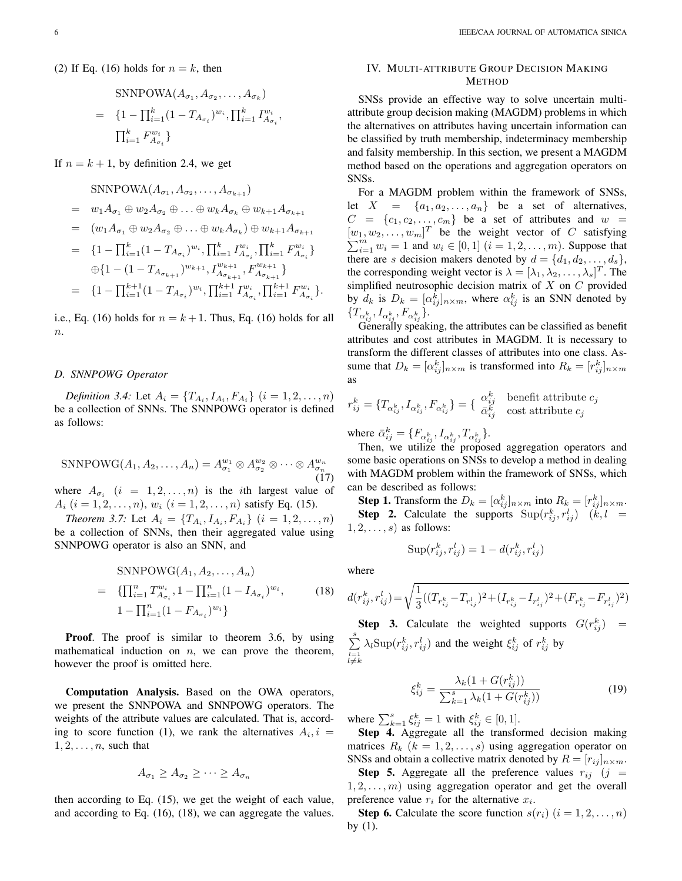(2) If Eq. (16) holds for  $n = k$ , then

$$
\text{SNNPOWA}(A_{\sigma_1}, A_{\sigma_2}, \dots, A_{\sigma_k})
$$
\n
$$
= \{1 - \prod_{i=1}^k (1 - T_{A_{\sigma_i}})^{w_i}, \prod_{i=1}^k I_{A_{\sigma_i}}^{w_i},
$$
\n
$$
\prod_{i=1}^k F_{A_{\sigma_i}}^{w_i}\}
$$

If  $n = k + 1$ , by definition 2.4, we get

$$
\text{SNNPOWA}(A_{\sigma_1}, A_{\sigma_2}, \dots, A_{\sigma_{k+1}})
$$

 $= w_1A_{\sigma_1} \oplus w_2A_{\sigma_2} \oplus \ldots \oplus w_kA_{\sigma_k} \oplus w_{k+1}A_{\sigma_{k+1}}$ 

$$
= (w_1 A_{\sigma_1} \oplus w_2 A_{\sigma_2} \oplus \ldots \oplus w_k A_{\sigma_k}) \oplus w_{k+1} A_{\sigma_{k+1}}
$$

$$
= \{1 - \prod_{i=1}^{k} (1 - T_{A_{\sigma_i}})^{w_i}, \prod_{i=1}^{k} I_{A_{\sigma_i}}^{w_i}, \prod_{i=1}^{k} F_{A_{\sigma_i}}^{w_i}\}\newline \oplus \{1 - (1 - T_{A_{\sigma_{k+1}}})^{w_{k+1}}, I_{A_{\sigma_{k+1}}}^{w_{k+1}}, F_{A_{\sigma_{k+1}}}^{w_{k+1}}\}\newline = \{1 - \prod_{i=1}^{k+1} (1 - T_{A_{\sigma_i}})^{w_i}, \prod_{i=1}^{k+1} I_{A_{\sigma_i}}^{w_i}, \prod_{i=1}^{k+1} F_{A_{\sigma_i}}^{w_i}\}.
$$

i.e., Eq. (16) holds for  $n = k + 1$ . Thus, Eq. (16) holds for all  $\boldsymbol{n}$ .

## *D. SNNPOWG Operator*

*Definition 3.4:* Let  $A_i = \{T_{A_i}, I_{A_i}, F_{A_i}\}$   $(i = 1, 2, ..., n)$ be a collection of SNNs. The SNNPOWG operator is defined as follows:

$$
\text{SNNPOWG}(A_1, A_2, \dots, A_n) = A_{\sigma_1}^{w_1} \otimes A_{\sigma_2}^{w_2} \otimes \dots \otimes A_{\sigma_n}^{w_n}
$$
\n(17)

where  $A_{\sigma_i}$   $(i = 1, 2, ..., n)$  is the *i*th largest value of  $A_i$   $(i = 1, 2, \ldots, n)$ ,  $w_i$   $(i = 1, 2, \ldots, n)$  satisfy Eq. (15).

*Theorem 3.7:* Let  $A_i = \{T_{A_i}, I_{A_i}, F_{A_i}\}$   $(i = 1, 2, ..., n)$ be a collection of SNNs, then their aggregated value using SNNPOWG operator is also an SNN, and

$$
\text{SNNPOWG}(A_1, A_2, \dots, A_n)
$$
\n
$$
= \{ \prod_{i=1}^n T_{A_{\sigma_i}}^{w_i}, 1 - \prod_{i=1}^n (1 - I_{A_{\sigma_i}})^{w_i}, \qquad (18)
$$
\n
$$
1 - \prod_{i=1}^n (1 - F_{A_{\sigma_i}})^{w_i} \}
$$

Proof. The proof is similar to theorem 3.6, by using mathematical induction on  $n$ , we can prove the theorem, however the proof is omitted here.

Computation Analysis. Based on the OWA operators, we present the SNNPOWA and SNNPOWG operators. The weights of the attribute values are calculated. That is, according to score function (1), we rank the alternatives  $A_i, i =$  $1, 2, \ldots, n$ , such that

$$
A_{\sigma_1} \ge A_{\sigma_2} \ge \cdots \ge A_{\sigma_n}
$$

then according to Eq. (15), we get the weight of each value, and according to Eq. (16), (18), we can aggregate the values.

## IV. MULTI-ATTRIBUTE GROUP DECISION MAKING METHOD

SNSs provide an effective way to solve uncertain multiattribute group decision making (MAGDM) problems in which the alternatives on attributes having uncertain information can be classified by truth membership, indeterminacy membership and falsity membership. In this section, we present a MAGDM method based on the operations and aggregation operators on SNSs.

For a MAGDM problem within the framework of SNSs, let  $X = \{a_1, a_2, \ldots, a_n\}$  be a set of alternatives,  $C = \{c_1, c_2, \ldots, c_m\}$  be a set of attributes and  $w =$  $[w_1, w_2, \ldots, w_m]^T$  be the weight vector of C satisfying  $\sum_{i=1}^{m} w_i = 1$  and  $w_i \in [0, 1]$   $(i = 1, 2, ..., m)$ . Suppose that there are s decision makers denoted by  $d = \{d_1, d_2, \ldots, d_s\},\$ the corresponding weight vector is  $\lambda = [\lambda_1, \lambda_2, \dots, \lambda_s]^T$ . The simplified neutrosophic decision matrix of  $X$  on  $C$  provided by  $d_k$  is  $D_k = [\alpha_{ij}^k]_{n \times m}$ , where  $\alpha_{ij}^k$  is an SNN denoted by  $\{T_{\alpha_{ij}^k}, I_{\alpha_{ij}^k}, F_{\alpha_{ij}^k}\}.$ 

Generally speaking, the attributes can be classified as benefit attributes and cost attributes in MAGDM. It is necessary to transform the different classes of attributes into one class. Assume that  $D_k = [\alpha_{ij}^k]_{n \times m}$  is transformed into  $R_k = [r_{ij}^k]_{n \times m}$ as

$$
r_{ij}^k = \{T_{\alpha_{ij}^k}, I_{\alpha_{ij}^k}, F_{\alpha_{ij}^k}\} = \{\begin{array}{ll} \alpha_{ij}^k & \text{benefit attribute } c_j \\ \bar{\alpha}_{ij}^k & \text{cost attribute } c_j \end{array}
$$

where  $\bar{\alpha}_{ij}^k = \{F_{\alpha_{ij}^k}, I_{\alpha_{ij}^k}, T_{\alpha_{ij}^k}\}.$ 

Then, we utilize the proposed aggregation operators and some basic operations on SNSs to develop a method in dealing with MAGDM problem within the framework of SNSs, which can be described as follows:

**Step 1.** Transform the  $D_k = [\alpha_{ij}^k]_{n \times m}$  into  $R_k = [r_{ij}^k]_{n \times m}$ . **Step 2.** Calculate the supports  $\text{Sup}(r_{ij}^k, r_{ij}^l)$   $(k, l)$  =  $1, 2, \ldots, s$  as follows:

$$
\operatorname{Sup}(r_{ij}^k, r_{ij}^l) = 1 - d(r_{ij}^k, r_{ij}^l)
$$

where

$$
d(r_{ij}^k, r_{ij}^l)\!=\!\sqrt{\frac{1}{3}((T_{r_{ij}^k}\!-\!T_{r_{ij}^l})^2\!+\!(I_{r_{ij}^k}\!-\!I_{r_{ij}^l})^2\!+\!(F_{r_{ij}^k}\!-\!F_{r_{ij}^l})^2)}
$$

**Step 3.** Calculate the weighted supports  $G(r_{ij}^k)$  =  $\stackrel{s}{\cdot}$  $l=1 \neq k$  $\lambda_l$ Sup $(r_{ij}^k, r_{ij}^l)$  and the weight  $\xi_{ij}^k$  of  $r_{ij}^k$  by

$$
\xi_{ij}^k = \frac{\lambda_k (1 + G(r_{ij}^k))}{\sum_{k=1}^s \lambda_k (1 + G(r_{ij}^k))}
$$
(19)

where  $\sum_{k=1}^{s} \xi_{ij}^{k} = 1$  with  $\xi_{ij}^{k} \in [0, 1]$ .

Step 4. Aggregate all the transformed decision making matrices  $R_k$   $(k = 1, 2, \ldots, s)$  using aggregation operator on SNSs and obtain a collective matrix denoted by  $R = [r_{ij}]_{n \times m}$ .

**Step 5.** Aggregate all the preference values  $r_{ij}$  (j =  $1, 2, \ldots, m$ ) using aggregation operator and get the overall preference value  $r_i$  for the alternative  $x_i$ .

**Step 6.** Calculate the score function  $s(r_i)$   $(i = 1, 2, \ldots, n)$ by (1).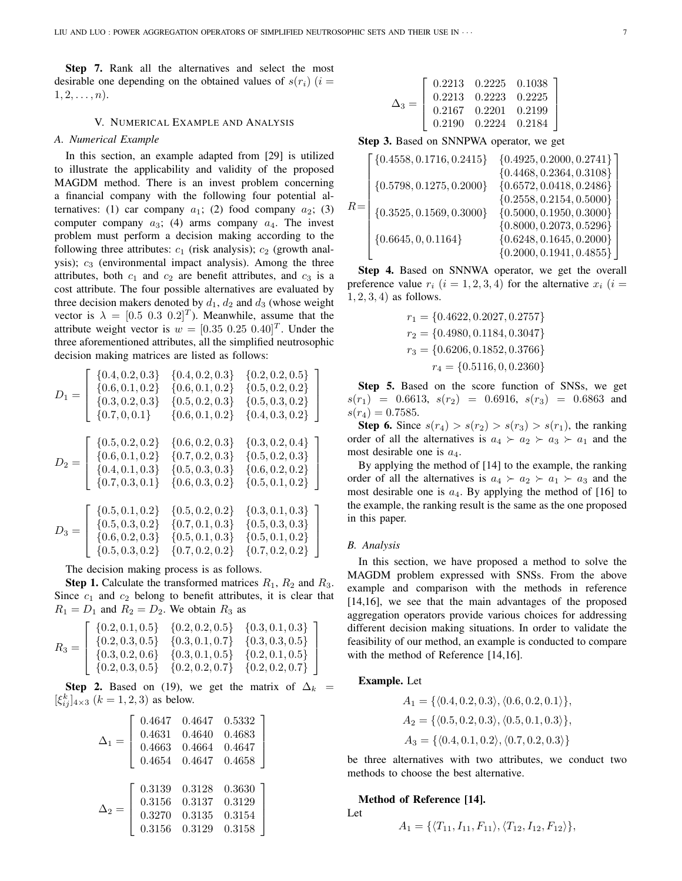Step 7. Rank all the alternatives and select the most desirable one depending on the obtained values of  $s(r_i)$  (i =  $1, 2, \ldots, n$ .

## V. NUMERICAL EXAMPLE AND ANALYSIS

## *A. Numerical Example*

In this section, an example adapted from [29] is utilized to illustrate the applicability and validity of the proposed MAGDM method. There is an invest problem concerning a financial company with the following four potential alternatives: (1) car company  $a_1$ ; (2) food company  $a_2$ ; (3) computer company  $a_3$ ; (4) arms company  $a_4$ . The invest problem must perform a decision making according to the following three attributes:  $c_1$  (risk analysis);  $c_2$  (growth analysis);  $c_3$  (environmental impact analysis). Among the three attributes, both  $c_1$  and  $c_2$  are benefit attributes, and  $c_3$  is a cost attribute. The four possible alternatives are evaluated by three decision makers denoted by  $d_1$ ,  $d_2$  and  $d_3$  (whose weight vector is  $\lambda = [0.5 \ 0.3 \ 0.2]^T$ ). Meanwhile, assume that the attribute weight vector is  $w = [0.35 \ 0.25 \ 0.40]^T$ . Under the three aforementioned attributes, all the simplified neutrosophic decision making matrices are listed as follows:

$$
D_1 = \left[\begin{array}{cccc} \{0.4, 0.2, 0.3\} & \{0.4, 0.2, 0.3\} & \{0.2, 0.2, 0.5\} \\ \{0.6, 0.1, 0.2\} & \{0.6, 0.1, 0.2\} & \{0.5, 0.2, 0.2\} \\ \{0.3, 0.2, 0.3\} & \{0.5, 0.2, 0.3\} & \{0.5, 0.3, 0.2\} \\ \{0.7, 0, 0.1\} & \{0.6, 0.1, 0.2\} & \{0.4, 0.3, 0.2\} \end{array}\right]
$$
  
\n
$$
D_2 = \left[\begin{array}{cccc} \{0.5, 0.2, 0.2\} & \{0.6, 0.2, 0.3\} & \{0.3, 0.2, 0.4\} \\ \{0.6, 0.1, 0.2\} & \{0.7, 0.2, 0.3\} & \{0.5, 0.2, 0.3\} \\ \{0.4, 0.1, 0.3\} & \{0.5, 0.3, 0.3\} & \{0.6, 0.2, 0.2\} \\ \{0.7, 0.3, 0.1\} & \{0.6, 0.3, 0.2\} & \{0.5, 0.1, 0.2\} \end{array}\right]
$$
  
\n
$$
D_3 = \left[\begin{array}{cccc} \{0.5, 0.1, 0.2\} & \{0.5, 0.2, 0.2\} & \{0.3, 0.1, 0.3\} \\ \{0.5, 0.3, 0.2\} & \{0.7, 0.1, 0.3\} & \{0.5, 0.3, 0.3\} \\ \{0.6, 0.2, 0.3\} & \{0.5, 0.1, 0.3\} & \{0.5, 0.1, 0.2\} \\ \{0.5, 0.3, 0.2\} & \{0.7, 0.2, 0.2\} & \{0.7, 0.2, 0.2\} \end{array}\right]
$$

The decision making process is as follows.

**Step 1.** Calculate the transformed matrices  $R_1$ ,  $R_2$  and  $R_3$ . Since  $c_1$  and  $c_2$  belong to benefit attributes, it is clear that  $R_1 = D_1$  and  $R_2 = D_2$ . We obtain  $R_3$  as  $\overline{a}$ 

$$
R_3 = \left[\begin{array}{cccc} \{0.2, 0.1, 0.5\} & \{0.2, 0.2, 0.5\} & \{0.3, 0.1, 0.3\} \\ \{0.2, 0.3, 0.5\} & \{0.3, 0.1, 0.7\} & \{0.3, 0.3, 0.5\} \\ \{0.3, 0.2, 0.6\} & \{0.3, 0.1, 0.5\} & \{0.2, 0.1, 0.5\} \\ \{0.2, 0.3, 0.5\} & \{0.2, 0.2, 0.7\} & \{0.2, 0.2, 0.7\} \end{array}\right]
$$

Step 2. Based on (19), we get the matrix of  $\Delta_k$  =  $[\xi_{ij}^k]_{4\times 3}$   $(k = 1, 2, 3)$  as below.

$$
\Delta_1 = \left[\begin{array}{cccc} 0.4647 & 0.4647 & 0.5332 \\ 0.4631 & 0.4640 & 0.4683 \\ 0.4663 & 0.4664 & 0.4647 \\ 0.4654 & 0.4647 & 0.4658 \end{array}\right]
$$

$$
\Delta_2 = \left[\begin{array}{cccc} 0.3139 & 0.3128 & 0.3630 \\ 0.3156 & 0.3137 & 0.3129 \\ 0.3270 & 0.3135 & 0.3154 \\ 0.3156 & 0.3129 & 0.3158 \end{array}\right]
$$

|  |  | $\begin{array}{cccc} 0.2213 & 0.2225 & 0.1038 \\ 0.2213 & 0.2223 & 0.2225 \\ 0.2167 & 0.2201 & 0.2199 \\ 0.2190 & 0.2224 & 0.2184 \end{array}$ |  |
|--|--|------------------------------------------------------------------------------------------------------------------------------------------------|--|
|  |  |                                                                                                                                                |  |

Step 3. Based on SNNPWA operator, we get l.

$$
R = \left[ \begin{matrix} \{ 0.4558, 0.1716, 0.2415 \} & \{ 0.4925, 0.2000, 0.2741 \} \\ \{ 0.4468, 0.2364, 0.3108 \} \\ \{ 0.5798, 0.1275, 0.2000 \} & \{ 0.6572, 0.0418, 0.2486 \} \\ \{ 0.3525, 0.1569, 0.3000 \} & \{ 0.5000, 0.1950, 0.3000 \} \\ \{ 0.6645, 0, 0.1164 \} & \{ 0.6248, 0.1645, 0.2000 \} \\ \{ 0.2000, 0.1941, 0.4855 \} \end{matrix} \right]
$$

Step 4. Based on SNNWA operator, we get the overall preference value  $r_i$  ( $i = 1, 2, 3, 4$ ) for the alternative  $x_i$  ( $i =$  $1, 2, 3, 4$  as follows.

$$
r_1 = \{0.4622, 0.2027, 0.2757\}
$$
  
\n
$$
r_2 = \{0.4980, 0.1184, 0.3047\}
$$
  
\n
$$
r_3 = \{0.6206, 0.1852, 0.3766\}
$$
  
\n
$$
r_4 = \{0.5116, 0, 0.2360\}
$$

Step 5. Based on the score function of SNSs, we get  $s(r_1) = 0.6613, s(r_2) = 0.6916, s(r_3) = 0.6863$  and  $s(r_4) = 0.7585.$ 

**Step 6.** Since  $s(r_4) > s(r_2) > s(r_3) > s(r_1)$ , the ranking order of all the alternatives is  $a_4 \succ a_2 \succ a_3 \succ a_1$  and the most desirable one is  $a_4$ .

By applying the method of [14] to the example, the ranking order of all the alternatives is  $a_4 \succ a_2 \succ a_1 \succ a_3$  and the most desirable one is  $a_4$ . By applying the method of [16] to the example, the ranking result is the same as the one proposed in this paper.

#### *B. Analysis*

In this section, we have proposed a method to solve the MAGDM problem expressed with SNSs. From the above example and comparison with the methods in reference [14,16], we see that the main advantages of the proposed aggregation operators provide various choices for addressing different decision making situations. In order to validate the feasibility of our method, an example is conducted to compare with the method of Reference [14,16].

## Example. Let

$$
A_1 = \{ \langle 0.4, 0.2, 0.3 \rangle, \langle 0.6, 0.2, 0.1 \rangle \},
$$
  
\n
$$
A_2 = \{ \langle 0.5, 0.2, 0.3 \rangle, \langle 0.5, 0.1, 0.3 \rangle \},
$$
  
\n
$$
A_3 = \{ \langle 0.4, 0.1, 0.2 \rangle, \langle 0.7, 0.2, 0.3 \rangle \}
$$

be three alternatives with two attributes, we conduct two methods to choose the best alternative.

## Method of Reference [14].

Let

$$
A_1 = \{ \langle T_{11}, I_{11}, F_{11} \rangle, \langle T_{12}, I_{12}, F_{12} \rangle \},
$$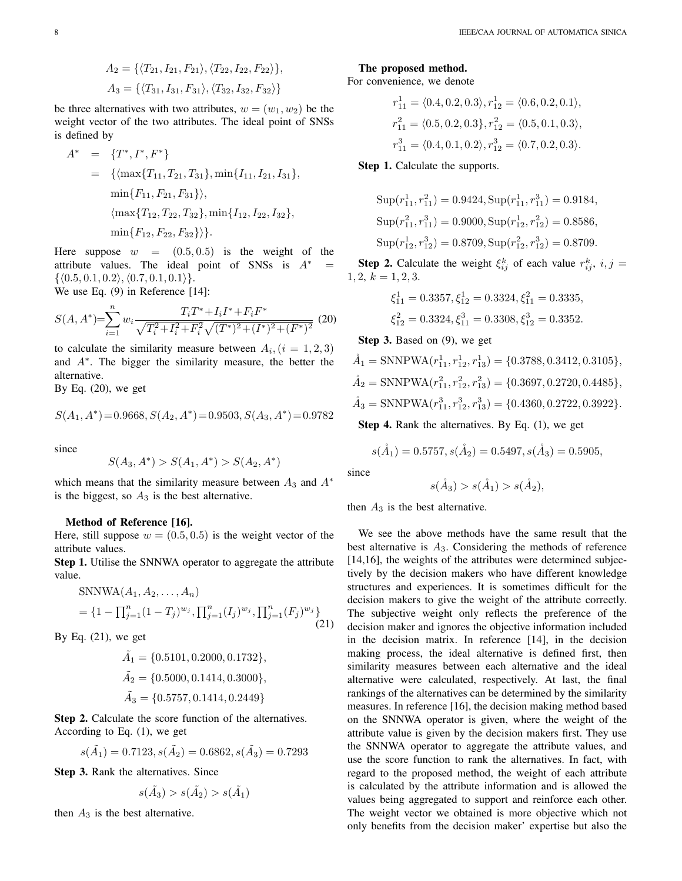$$
A_2 = \{ \langle T_{21}, I_{21}, F_{21} \rangle, \langle T_{22}, I_{22}, F_{22} \rangle \},
$$
  

$$
A_3 = \{ \langle T_{31}, I_{31}, F_{31} \rangle, \langle T_{32}, I_{32}, F_{32} \rangle \}
$$

be three alternatives with two attributes,  $w = (w_1, w_2)$  be the weight vector of the two attributes. The ideal point of SNSs is defined by

$$
A^* = \{T^*, I^*, F^*\}
$$
  
= { $\{\max\{T_{11}, T_{21}, T_{31}\}, \min\{I_{11}, I_{21}, I_{31}\},\$   
 $\min\{F_{11}, F_{21}, F_{31}\}\},\$   
 $\langle \max\{T_{12}, T_{22}, T_{32}\}, \min\{I_{12}, I_{22}, I_{32}\},\$   
 $\min\{F_{12}, F_{22}, F_{32}\}\}.$ 

Here suppose  $w = (0.5, 0.5)$  is the weight of the attribute values. The ideal point of SNSs is  $A^*$  $\{\langle 0.5, 0.1, 0.2 \rangle, \langle 0.7, 0.1, 0.1 \rangle\}.$ 

We use Eq. (9) in Reference [14]:

$$
S(A, A^*) = \sum_{i=1}^n w_i \frac{T_i T^* + I_i I^* + F_i F^*}{\sqrt{T_i^2 + I_i^2 + F_i^2} \sqrt{(T^*)^2 + (I^*)^2 + (F^*)^2}}
$$
(20)

to calculate the similarity measure between  $A_i$ ,  $(i = 1, 2, 3)$ and A<sup>∗</sup> . The bigger the similarity measure, the better the alternative.

By Eq.  $(20)$ , we get

$$
S(A_1,A^*)\!=\!0.9668,S(A_2,A^*)\!=\!0.9503,S(A_3,A^*)\!=\!0.9782
$$

since

$$
S(A_3, A^*) > S(A_1, A^*) > S(A_2, A^*)
$$

which means that the similarity measure between  $A_3$  and  $A^*$ is the biggest, so  $A_3$  is the best alternative.

## Method of Reference [16].

Here, still suppose  $w = (0.5, 0.5)$  is the weight vector of the attribute values.

Step 1. Utilise the SNNWA operator to aggregate the attribute value.

$$
SNNWA(A_1, A_2, ..., A_n)
$$
  
=  $\{1 - \prod_{j=1}^n (1 - T_j)^{w_j}, \prod_{j=1}^n (I_j)^{w_j}, \prod_{j=1}^n (F_j)^{w_j}\}$  (21)

By Eq.  $(21)$ , we get

$$
\tilde{A}_1 = \{0.5101, 0.2000, 0.1732\},
$$
\n
$$
\tilde{A}_2 = \{0.5000, 0.1414, 0.3000\},
$$
\n
$$
\tilde{A}_3 = \{0.5757, 0.1414, 0.2449\}
$$

Step 2. Calculate the score function of the alternatives. According to Eq. (1), we get

$$
s(\tilde{A}_1) = 0.7123, s(\tilde{A}_2) = 0.6862, s(\tilde{A}_3) = 0.7293
$$

Step 3. Rank the alternatives. Since

$$
s(\tilde{A_3}) > s(\tilde{A_2}) > s(\tilde{A_1})
$$

then  $A_3$  is the best alternative.

## The proposed method.

For convenience, we denote

$$
r_{11}^1 = \langle 0.4, 0.2, 0.3 \rangle, r_{12}^1 = \langle 0.6, 0.2, 0.1 \rangle,
$$
  
\n
$$
r_{11}^2 = \langle 0.5, 0.2, 0.3 \rangle, r_{12}^2 = \langle 0.5, 0.1, 0.3 \rangle,
$$
  
\n
$$
r_{11}^3 = \langle 0.4, 0.1, 0.2 \rangle, r_{12}^3 = \langle 0.7, 0.2, 0.3 \rangle.
$$

Step 1. Calculate the supports.

$$
Sup(r_{11}^1, r_{11}^2) = 0.9424, Sup(r_{11}^1, r_{11}^3) = 0.9184,
$$
  
\n
$$
Sup(r_{11}^2, r_{11}^3) = 0.9000, Sup(r_{12}^1, r_{12}^2) = 0.8586,
$$
  
\n
$$
Sup(r_{12}^1, r_{12}^3) = 0.8709, Sup(r_{12}^2, r_{12}^3) = 0.8709.
$$

**Step 2.** Calculate the weight  $\xi_{ij}^k$  of each value  $r_{ij}^k$ ,  $i, j =$  $1, 2, k = 1, 2, 3.$ 

$$
\xi_{11}^1 = 0.3357, \xi_{12}^1 = 0.3324, \xi_{11}^2 = 0.3335,
$$
  

$$
\xi_{12}^2 = 0.3324, \xi_{11}^3 = 0.3308, \xi_{12}^3 = 0.3352.
$$

Step 3. Based on (9), we get

$$
\hat{A}_1 = \text{SNNPWA}(r_{11}^1, r_{12}^1, r_{13}^1) = \{0.3788, 0.3412, 0.3105\},
$$
\n
$$
\hat{A}_2 = \text{SNNPWA}(r_{11}^2, r_{12}^2, r_{13}^2) = \{0.3697, 0.2720, 0.4485\},
$$
\n
$$
\hat{A}_3 = \text{SNNPWA}(r_{11}^3, r_{12}^3, r_{13}^3) = \{0.4360, 0.2722, 0.3922\}.
$$

Step 4. Rank the alternatives. By Eq. (1), we get

$$
s(\AA_1) = 0.5757, s(\AA_2) = 0.5497, s(\AA_3) = 0.5905,
$$

since

$$
s(\AA_3) > s(\AA_1) > s(\AA_2),
$$

then  $A_3$  is the best alternative.

We see the above methods have the same result that the best alternative is  $A_3$ . Considering the methods of reference [14,16], the weights of the attributes were determined subjectively by the decision makers who have different knowledge structures and experiences. It is sometimes difficult for the decision makers to give the weight of the attribute correctly. The subjective weight only reflects the preference of the decision maker and ignores the objective information included in the decision matrix. In reference [14], in the decision making process, the ideal alternative is defined first, then similarity measures between each alternative and the ideal alternative were calculated, respectively. At last, the final rankings of the alternatives can be determined by the similarity measures. In reference [16], the decision making method based on the SNNWA operator is given, where the weight of the attribute value is given by the decision makers first. They use the SNNWA operator to aggregate the attribute values, and use the score function to rank the alternatives. In fact, with regard to the proposed method, the weight of each attribute is calculated by the attribute information and is allowed the values being aggregated to support and reinforce each other. The weight vector we obtained is more objective which not only benefits from the decision maker' expertise but also the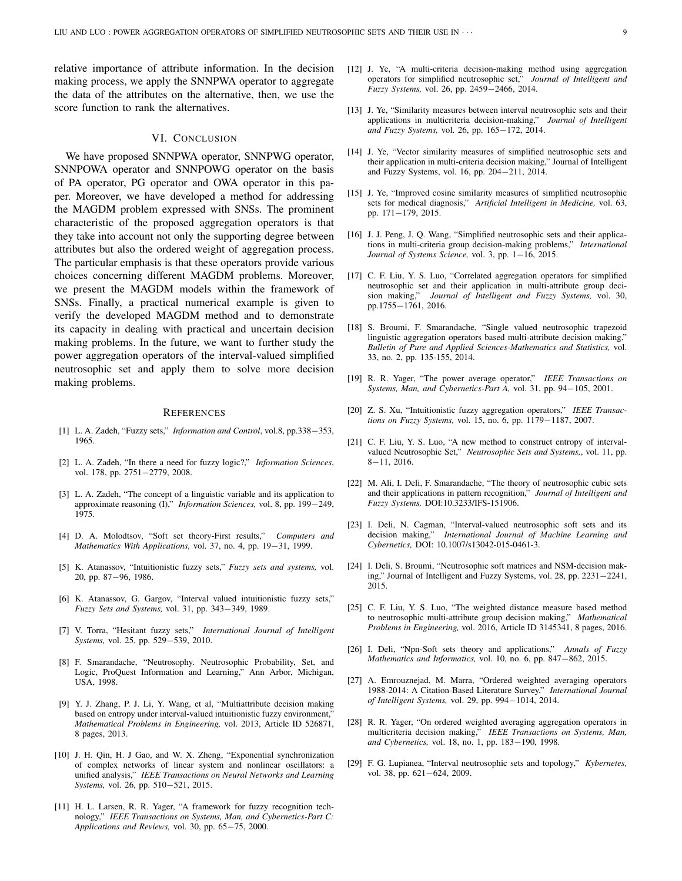relative importance of attribute information. In the decision making process, we apply the SNNPWA operator to aggregate the data of the attributes on the alternative, then, we use the score function to rank the alternatives.

## VI. CONCLUSION

We have proposed SNNPWA operator, SNNPWG operator, SNNPOWA operator and SNNPOWG operator on the basis of PA operator, PG operator and OWA operator in this paper. Moreover, we have developed a method for addressing the MAGDM problem expressed with SNSs. The prominent characteristic of the proposed aggregation operators is that they take into account not only the supporting degree between attributes but also the ordered weight of aggregation process. The particular emphasis is that these operators provide various choices concerning different MAGDM problems. Moreover, we present the MAGDM models within the framework of SNSs. Finally, a practical numerical example is given to verify the developed MAGDM method and to demonstrate its capacity in dealing with practical and uncertain decision making problems. In the future, we want to further study the power aggregation operators of the interval-valued simplified neutrosophic set and apply them to solve more decision making problems.

#### **REFERENCES**

- [1] L. A. Zadeh, "Fuzzy sets," *Information and Control*, vol.8, pp.338−353, 1965.
- [2] L. A. Zadeh, "In there a need for fuzzy logic?," *Information Sciences*, vol. 178, pp. 2751−2779, 2008.
- [3] L. A. Zadeh, "The concept of a linguistic variable and its application to approximate reasoning (I)," *Information Sciences,* vol. 8, pp. 199−249, 1975.
- [4] D. A. Molodtsov, "Soft set theory-First results," *Computers and Mathematics With Applications,* vol. 37, no. 4, pp. 19−31, 1999.
- [5] K. Atanassov, "Intuitionistic fuzzy sets," *Fuzzy sets and systems,* vol. 20, pp. 87−96, 1986.
- [6] K. Atanassov, G. Gargov, "Interval valued intuitionistic fuzzy sets," *Fuzzy Sets and Systems,* vol. 31, pp. 343−349, 1989.
- [7] V. Torra, "Hesitant fuzzy sets," *International Journal of Intelligent Systems,* vol. 25, pp. 529−539, 2010.
- [8] F. Smarandache, "Neutrosophy. Neutrosophic Probability, Set, and Logic, ProQuest Information and Learning," Ann Arbor, Michigan, USA, 1998.
- [9] Y. J. Zhang, P. J. Li, Y. Wang, et al, "Multiattribute decision making based on entropy under interval-valued intuitionistic fuzzy environment," *Mathematical Problems in Engineering,* vol. 2013, Article ID 526871, 8 pages, 2013.
- [10] J. H. Qin, H. J Gao, and W. X. Zheng, "Exponential synchronization of complex networks of linear system and nonlinear oscillators: a unified analysis," *IEEE Transactions on Neural Networks and Learning Systems,* vol. 26, pp. 510−521, 2015.
- [11] H. L. Larsen, R. R. Yager, "A framework for fuzzy recognition technology," *IEEE Transactions on Systems, Man, and Cybernetics-Part C: Applications and Reviews,* vol. 30, pp. 65−75, 2000.
- [12] J. Ye, "A multi-criteria decision-making method using aggregation operators for simplified neutrosophic set," *Journal of Intelligent and Fuzzy Systems,* vol. 26, pp. 2459−2466, 2014.
- [13] J. Ye, "Similarity measures between interval neutrosophic sets and their applications in multicriteria decision-making," *Journal of Intelligent and Fuzzy Systems,* vol. 26, pp. 165−172, 2014.
- [14] J. Ye, "Vector similarity measures of simplified neutrosophic sets and their application in multi-criteria decision making," Journal of Intelligent and Fuzzy Systems, vol. 16, pp. 204−211, 2014.
- [15] J. Ye, "Improved cosine similarity measures of simplified neutrosophic sets for medical diagnosis," *Artificial Intelligent in Medicine,* vol. 63, pp. 171−179, 2015.
- [16] J. J. Peng, J. Q. Wang, "Simplified neutrosophic sets and their applications in multi-criteria group decision-making problems," *International Journal of Systems Science,* vol. 3, pp. 1−16, 2015.
- [17] C. F. Liu, Y. S. Luo, "Correlated aggregation operators for simplified neutrosophic set and their application in multi-attribute group decision making," *Journal of Intelligent and Fuzzy Systems,* vol. 30, pp.1755−1761, 2016.
- [18] S. Broumi, F. Smarandache, "Single valued neutrosophic trapezoid linguistic aggregation operators based multi-attribute decision making," *Bulletin of Pure and Applied Sciences-Mathematics and Statistics,* vol. 33, no. 2, pp. 135-155, 2014.
- [19] R. R. Yager, "The power average operator," *IEEE Transactions on Systems, Man, and Cybernetics-Part A,* vol. 31, pp. 94−105, 2001.
- [20] Z. S. Xu, "Intuitionistic fuzzy aggregation operators," *IEEE Transactions on Fuzzy Systems,* vol. 15, no. 6, pp. 1179−1187, 2007.
- [21] C. F. Liu, Y. S. Luo, "A new method to construct entropy of intervalvalued Neutrosophic Set," *Neutrosophic Sets and Systems,*, vol. 11, pp. 8−11, 2016.
- [22] M. Ali, I. Deli, F. Smarandache, "The theory of neutrosophic cubic sets and their applications in pattern recognition," *Journal of Intelligent and Fuzzy Systems,* DOI:10.3233/IFS-151906.
- [23] I. Deli, N. Cagman, "Interval-valued neutrosophic soft sets and its decision making," *International Journal of Machine Learning and Cybernetics,* DOI: 10.1007/s13042-015-0461-3.
- [24] I. Deli, S. Broumi, "Neutrosophic soft matrices and NSM-decision making," Journal of Intelligent and Fuzzy Systems, vol. 28, pp. 2231−2241, 2015.
- [25] C. F. Liu, Y. S. Luo, "The weighted distance measure based method to neutrosophic multi-attribute group decision making," *Mathematical Problems in Engineering,* vol. 2016, Article ID 3145341, 8 pages, 2016.
- [26] I. Deli, "Npn-Soft sets theory and applications," *Annals of Fuzzy Mathematics and Informatics,* vol. 10, no. 6, pp. 847−862, 2015.
- [27] A. Emrouznejad, M. Marra, "Ordered weighted averaging operators 1988-2014: A Citation-Based Literature Survey," *International Journal of Intelligent Systems,* vol. 29, pp. 994−1014, 2014.
- [28] R. R. Yager, "On ordered weighted averaging aggregation operators in multicriteria decision making," *IEEE Transactions on Systems, Man, and Cybernetics,* vol. 18, no. 1, pp. 183−190, 1998.
- [29] F. G. Lupianea, "Interval neutrosophic sets and topology," *Kybernetes,* vol. 38, pp. 621−624, 2009.